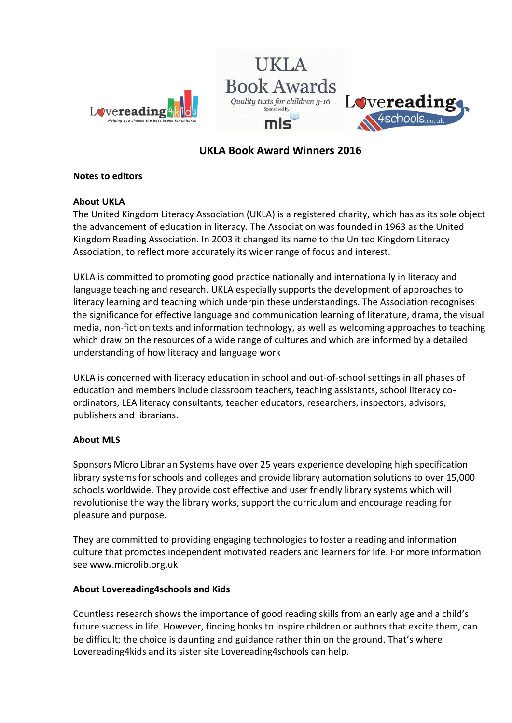



# **UKLA Book Award Winners 2016**

## **Notes to editors**

## **About UKLA**

The United Kingdom Literacy Association (UKLA) is a registered charity, which has as its sole object the advancement of education in literacy. The Association was founded in 1963 as the United Kingdom Reading Association. In 2003 it changed its name to the United Kingdom Literacy Association, to reflect more accurately its wider range of focus and interest.

UKLA is committed to promoting good practice nationally and internationally in literacy and language teaching and research. UKLA especially supports the development of approaches to literacy learning and teaching which underpin these understandings. The Association recognises the significance for effective language and communication learning of literature, drama, the visual media, non-fiction texts and information technology, as well as welcoming approaches to teaching which draw on the resources of a wide range of cultures and which are informed by a detailed understanding of how literacy and language work

UKLA is concerned with literacy education in school and out-of-school settings in all phases of education and members include classroom teachers, teaching assistants, school literacy coordinators, LEA literacy consultants, teacher educators, researchers, inspectors, advisors, publishers and librarians.

### **About MLS**

Sponsors Micro Librarian Systems have over 25 years experience developing high specification library systems for schools and colleges and provide library automation solutions to over 15,000 schools worldwide. They provide cost effective and user friendly library systems which will revolutionise the way the library works, support the curriculum and encourage reading for pleasure and purpose.

They are committed to providing engaging technologies to foster a reading and information culture that promotes independent motivated readers and learners for life. For more information see www.microlib.org.uk

### **About Lovereading4schools and Kids**

Countless research shows the importance of good reading skills from an early age and a child's future success in life. However, finding books to inspire children or authors that excite them, can be difficult; the choice is daunting and guidance rather thin on the ground. That's where Lovereading4kids and its sister site Lovereading4schools can help.